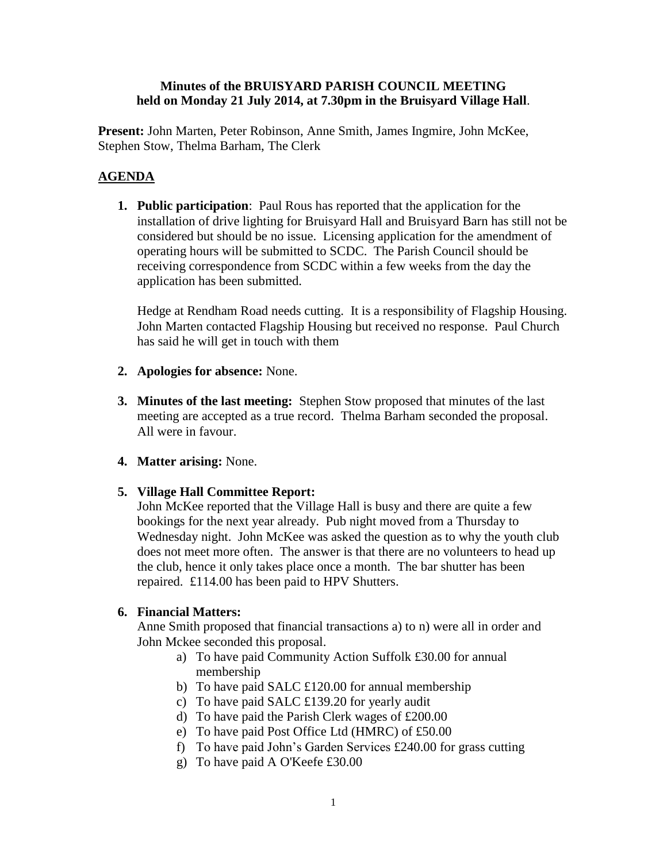## **Minutes of the BRUISYARD PARISH COUNCIL MEETING held on Monday 21 July 2014, at 7.30pm in the Bruisyard Village Hall**.

**Present:** John Marten, Peter Robinson, Anne Smith, James Ingmire, John McKee, Stephen Stow, Thelma Barham, The Clerk

# **AGENDA**

**1. Public participation**: Paul Rous has reported that the application for the installation of drive lighting for Bruisyard Hall and Bruisyard Barn has still not be considered but should be no issue. Licensing application for the amendment of operating hours will be submitted to SCDC. The Parish Council should be receiving correspondence from SCDC within a few weeks from the day the application has been submitted.

Hedge at Rendham Road needs cutting. It is a responsibility of Flagship Housing. John Marten contacted Flagship Housing but received no response. Paul Church has said he will get in touch with them

- **2. Apologies for absence:** None.
- **3. Minutes of the last meeting:** Stephen Stow proposed that minutes of the last meeting are accepted as a true record. Thelma Barham seconded the proposal. All were in favour.
- **4. Matter arising:** None.
- **5. Village Hall Committee Report:**

John McKee reported that the Village Hall is busy and there are quite a few bookings for the next year already. Pub night moved from a Thursday to Wednesday night. John McKee was asked the question as to why the youth club does not meet more often. The answer is that there are no volunteers to head up the club, hence it only takes place once a month. The bar shutter has been repaired. £114.00 has been paid to HPV Shutters.

## **6. Financial Matters:**

Anne Smith proposed that financial transactions a) to n) were all in order and John Mckee seconded this proposal.

- a) To have paid Community Action Suffolk £30.00 for annual membership
- b) To have paid SALC £120.00 for annual membership
- c) To have paid SALC £139.20 for yearly audit
- d) To have paid the Parish Clerk wages of £200.00
- e) To have paid Post Office Ltd (HMRC) of £50.00
- f) To have paid John's Garden Services £240.00 for grass cutting
- g) To have paid A O'Keefe £30.00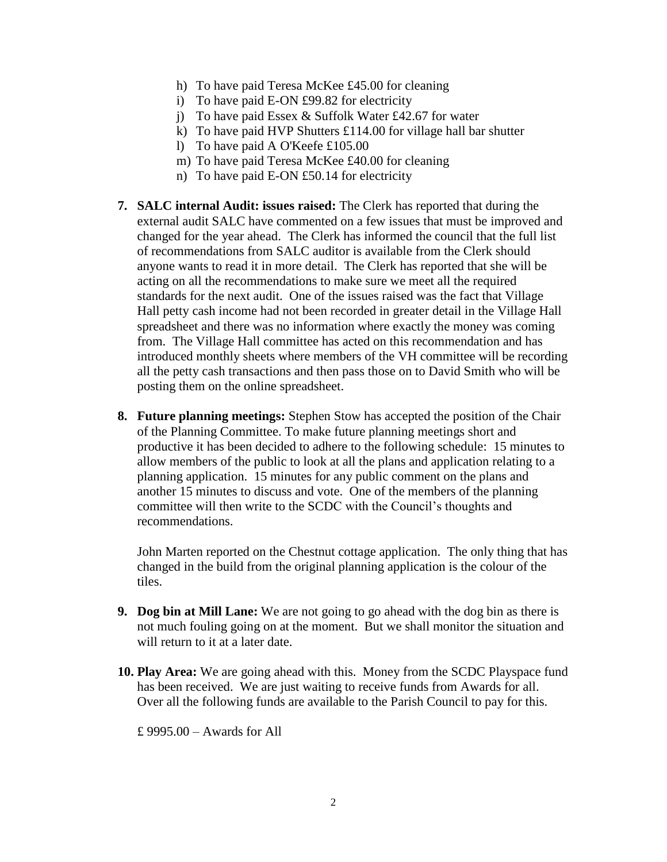- h) To have paid Teresa McKee £45.00 for cleaning
- i) To have paid E-ON £99.82 for electricity
- j) To have paid Essex & Suffolk Water £42.67 for water
- k) To have paid HVP Shutters £114.00 for village hall bar shutter
- l) To have paid A O'Keefe £105.00
- m) To have paid Teresa McKee £40.00 for cleaning
- n) To have paid E-ON £50.14 for electricity
- **7. SALC internal Audit: issues raised:** The Clerk has reported that during the external audit SALC have commented on a few issues that must be improved and changed for the year ahead. The Clerk has informed the council that the full list of recommendations from SALC auditor is available from the Clerk should anyone wants to read it in more detail. The Clerk has reported that she will be acting on all the recommendations to make sure we meet all the required standards for the next audit. One of the issues raised was the fact that Village Hall petty cash income had not been recorded in greater detail in the Village Hall spreadsheet and there was no information where exactly the money was coming from. The Village Hall committee has acted on this recommendation and has introduced monthly sheets where members of the VH committee will be recording all the petty cash transactions and then pass those on to David Smith who will be posting them on the online spreadsheet.
- **8. Future planning meetings:** Stephen Stow has accepted the position of the Chair of the Planning Committee. To make future planning meetings short and productive it has been decided to adhere to the following schedule: 15 minutes to allow members of the public to look at all the plans and application relating to a planning application. 15 minutes for any public comment on the plans and another 15 minutes to discuss and vote. One of the members of the planning committee will then write to the SCDC with the Council's thoughts and recommendations.

John Marten reported on the Chestnut cottage application. The only thing that has changed in the build from the original planning application is the colour of the tiles.

- **9. Dog bin at Mill Lane:** We are not going to go ahead with the dog bin as there is not much fouling going on at the moment. But we shall monitor the situation and will return to it at a later date.
- **10. Play Area:** We are going ahead with this. Money from the SCDC Playspace fund has been received. We are just waiting to receive funds from Awards for all. Over all the following funds are available to the Parish Council to pay for this.

£ 9995.00 – Awards for All